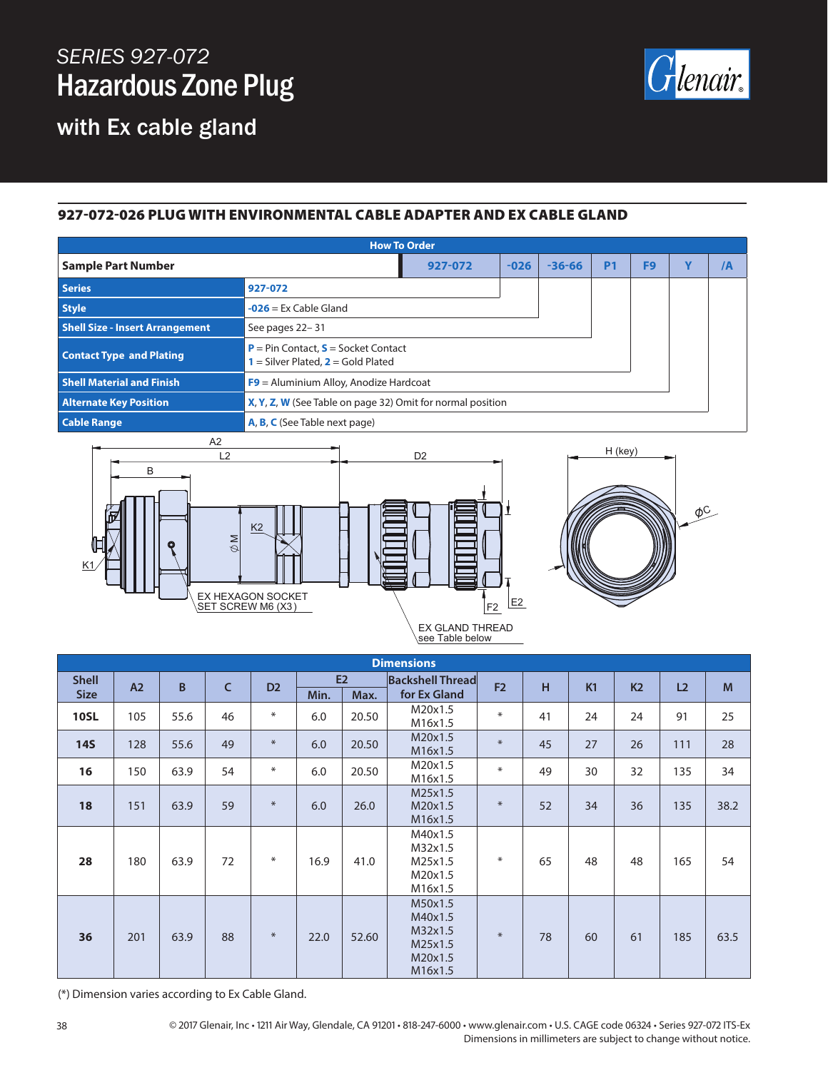## *SERIES 927-072* Hazardous Zone Plug

with Ex cable gland



## 927-072-026 PLUG WITH ENVIRONMENTAL CABLE ADAPTER AND EX CABLE GLAND

| <b>How To Order</b>                    |                                                                                      |        |            |                |                |             |    |  |  |  |
|----------------------------------------|--------------------------------------------------------------------------------------|--------|------------|----------------|----------------|-------------|----|--|--|--|
| <b>Sample Part Number</b>              | 927-072                                                                              | $-026$ | $-36 - 66$ | P <sub>1</sub> | F <sub>9</sub> | $\mathbf v$ | /A |  |  |  |
| Series                                 | 927-072                                                                              |        |            |                |                |             |    |  |  |  |
| <b>Style</b>                           | $-026$ = Ex Cable Gland                                                              |        |            |                |                |             |    |  |  |  |
| <b>Shell Size - Insert Arrangement</b> | See pages 22-31                                                                      |        |            |                |                |             |    |  |  |  |
| <b>Contact Type and Plating</b>        | <b>P</b> = Pin Contact, $S$ = Socket Contact<br>$=$ Silver Plated, $2 =$ Gold Plated |        |            |                |                |             |    |  |  |  |
| <b>Shell Material and Finish</b>       | $F9$ = Aluminium Alloy, Anodize Hardcoat                                             |        |            |                |                |             |    |  |  |  |
| <b>Alternate Key Position</b>          | X, Y, Z, W (See Table on page 32) Omit for normal position                           |        |            |                |                |             |    |  |  |  |
| <b>Cable Range</b>                     | <b>A, B, C</b> (See Table next page)                                                 |        |            |                |                |             |    |  |  |  |



| <b>Dimensions</b> |     |      |              |                |      |       |                                                                |                |    |    |                |                |      |
|-------------------|-----|------|--------------|----------------|------|-------|----------------------------------------------------------------|----------------|----|----|----------------|----------------|------|
| <b>Shell</b>      | A2  | B    | $\mathsf{C}$ | D <sub>2</sub> | E2   |       | <b>Backshell Thread</b>                                        | F <sub>2</sub> | H  | K1 | K <sub>2</sub> | L <sub>2</sub> | M    |
| <b>Size</b>       |     |      |              |                | Min. | Max.  | for Ex Gland                                                   |                |    |    |                |                |      |
| <b>10SL</b>       | 105 | 55.6 | 46           | $\ast$         | 6.0  | 20.50 | M20x1.5<br>M16x1.5                                             | $\ast$         | 41 | 24 | 24             | 91             | 25   |
| <b>14S</b>        | 128 | 55.6 | 49           | $\ast$         | 6.0  | 20.50 | M20x1.5<br>M16x1.5                                             | $\ast$         | 45 | 27 | 26             | 111            | 28   |
| 16                | 150 | 63.9 | 54           | $\ast$         | 6.0  | 20.50 | M20x1.5<br>M16x1.5                                             | $\ast$         | 49 | 30 | 32             | 135            | 34   |
| 18                | 151 | 63.9 | 59           | $\ast$         | 6.0  | 26.0  | M25x1.5<br>M20x1.5<br>M16x1.5                                  | $\ast$         | 52 | 34 | 36             | 135            | 38.2 |
| 28                | 180 | 63.9 | 72           | $\ast$         | 16.9 | 41.0  | M40x1.5<br>M32x1.5<br>M25x1.5<br>M20x1.5<br>M16x1.5            | $\ast$         | 65 | 48 | 48             | 165            | 54   |
| 36                | 201 | 63.9 | 88           | $*$            | 22.0 | 52.60 | M50x1.5<br>M40x1.5<br>M32x1.5<br>M25x1.5<br>M20x1.5<br>M16x1.5 | $\ast$         | 78 | 60 | 61             | 185            | 63.5 |

(\*) Dimension varies according to Ex Cable Gland.